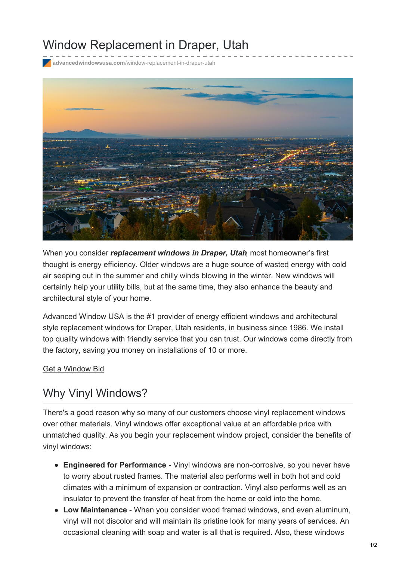## Window Replacement in Draper, Utah

**advancedwindowsusa.com**[/window-replacement-in-draper-utah](https://advancedwindowsusa.com/window-replacement-in-draper-utah)



When you consider *replacement windows in Draper, Utah*, most homeowner's first thought is energy efficiency. Older windows are a huge source of wasted energy with cold air seeping out in the summer and chilly winds blowing in the winter. New windows will certainly help your utility bills, but at the same time, they also enhance the beauty and architectural style of your home.

[Advanced](https://advancedwindowsusa.com/) Window USA is the #1 provider of energy efficient windows and architectural style replacement windows for Draper, Utah residents, in business since 1986. We install top quality windows with friendly service that you can trust. Our windows come directly from the factory, saving you money on installations of 10 or more.

Get a [Window](https://advancedwindowsusa.com/contact-us) Bid

## Why Vinyl Windows?

There's a good reason why so many of our customers choose vinyl replacement windows over other materials. Vinyl windows offer exceptional value at an affordable price with unmatched quality. As you begin your replacement window project, consider the benefits of vinyl windows:

- **Engineered for Performance** Vinyl windows are non-corrosive, so you never have to worry about rusted frames. The material also performs well in both hot and cold climates with a minimum of expansion or contraction. Vinyl also performs well as an insulator to prevent the transfer of heat from the home or cold into the home.
- **Low Maintenance** When you consider wood framed windows, and even aluminum, vinyl will not discolor and will maintain its pristine look for many years of services. An occasional cleaning with soap and water is all that is required. Also, these windows